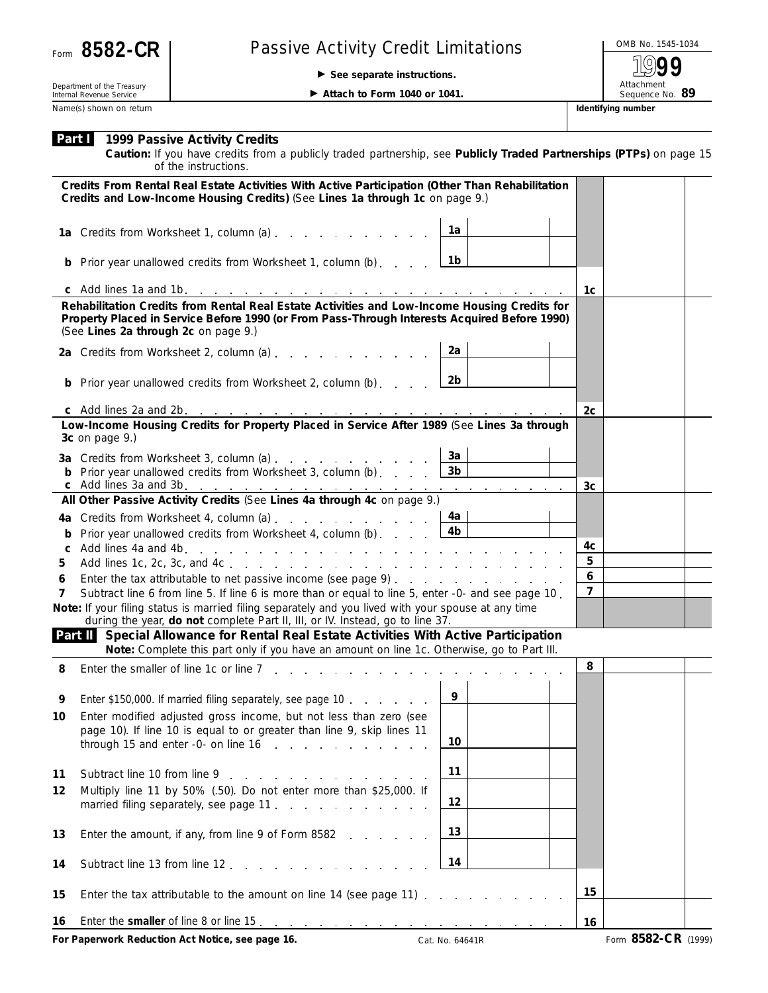|  |  | Form 8582-CR |
|--|--|--------------|
|--|--|--------------|

## **Passive Activity Credit Limitations**

**See separate instructions.**

OMB No. 1545-1034 Attachment<br>Sequence No. 89 **1999**

Department of the Treasury Internal Revenue Service Name(s) shown on return **Identifying number Identifying number Identifying number** 

**Part I**

**1999 Passive Activity Credits**

**Attach to Form 1040 or 1041.** 

**Caution:** *If you have credits from a publicly traded partnership, see Publicly Traded Partnerships (PTPs) on page 15*

|                                                                                                                                                                                     | of the instructions.                                                                                                                                                                                                                 |                                             |                  |                     |  |  |  |
|-------------------------------------------------------------------------------------------------------------------------------------------------------------------------------------|--------------------------------------------------------------------------------------------------------------------------------------------------------------------------------------------------------------------------------------|---------------------------------------------|------------------|---------------------|--|--|--|
|                                                                                                                                                                                     | Credits From Rental Real Estate Activities With Active Participation (Other Than Rehabilitation                                                                                                                                      |                                             |                  |                     |  |  |  |
|                                                                                                                                                                                     | Credits and Low-Income Housing Credits) (See Lines 1a through 1c on page 9.)                                                                                                                                                         |                                             |                  |                     |  |  |  |
|                                                                                                                                                                                     | 1a Credits from Worksheet 1, column (a)                                                                                                                                                                                              | 1а                                          |                  |                     |  |  |  |
|                                                                                                                                                                                     | <b>b</b> Prior year unallowed credits from Worksheet 1, column (b)                                                                                                                                                                   | $\lfloor$ 1b                                |                  |                     |  |  |  |
|                                                                                                                                                                                     |                                                                                                                                                                                                                                      |                                             | 1c               |                     |  |  |  |
|                                                                                                                                                                                     | Rehabilitation Credits from Rental Real Estate Activities and Low-Income Housing Credits for<br>Property Placed in Service Before 1990 (or From Pass-Through Interests Acquired Before 1990)<br>(See Lines 2a through 2c on page 9.) |                                             |                  |                     |  |  |  |
|                                                                                                                                                                                     | 2a Credits from Worksheet 2, column (a)                                                                                                                                                                                              | 2a                                          |                  |                     |  |  |  |
|                                                                                                                                                                                     | <b>b</b> Prior year unallowed credits from Worksheet 2, column (b) $\ldots$ $\boxed{2b}$                                                                                                                                             |                                             |                  |                     |  |  |  |
|                                                                                                                                                                                     |                                                                                                                                                                                                                                      |                                             | 2c               |                     |  |  |  |
|                                                                                                                                                                                     | Low-Income Housing Credits for Property Placed in Service After 1989 (See Lines 3a through<br>3c on page 9.)                                                                                                                         |                                             |                  |                     |  |  |  |
|                                                                                                                                                                                     | 3a Credits from Worksheet 3, column (a)                                                                                                                                                                                              | За                                          |                  |                     |  |  |  |
|                                                                                                                                                                                     | <b>b</b> Prior year unallowed credits from Worksheet 3, column (b)                                                                                                                                                                   | $\lfloor 3b \rfloor$                        |                  |                     |  |  |  |
|                                                                                                                                                                                     | All Other Passive Activity Credits (See Lines 4a through 4c on page 9.)                                                                                                                                                              |                                             | 3c               |                     |  |  |  |
|                                                                                                                                                                                     |                                                                                                                                                                                                                                      |                                             |                  |                     |  |  |  |
|                                                                                                                                                                                     | 4a Credits from Worksheet 4, column (a)                                                                                                                                                                                              | 4a<br>4 <sub>b</sub>                        |                  |                     |  |  |  |
| b                                                                                                                                                                                   | Prior year unallowed credits from Worksheet 4, column (b)                                                                                                                                                                            |                                             | 4c               |                     |  |  |  |
| 5                                                                                                                                                                                   |                                                                                                                                                                                                                                      |                                             | 5                |                     |  |  |  |
| 6                                                                                                                                                                                   | Enter the tax attributable to net passive income (see page 9)                                                                                                                                                                        |                                             | $\boldsymbol{6}$ |                     |  |  |  |
| 7                                                                                                                                                                                   | Subtract line 6 from line 5. If line 6 is more than or equal to line 5, enter -0- and see page 10.                                                                                                                                   |                                             | $\overline{7}$   |                     |  |  |  |
|                                                                                                                                                                                     | Note: If your filing status is married filing separately and you lived with your spouse at any time<br>during the year, do not complete Part II, III, or IV. Instead, go to line 37.                                                 |                                             |                  |                     |  |  |  |
| Part II Special Allowance for Rental Real Estate Activities With Active Participation<br>Note: Complete this part only if you have an amount on line 1c. Otherwise, go to Part III. |                                                                                                                                                                                                                                      |                                             |                  |                     |  |  |  |
| 8                                                                                                                                                                                   | Enter the smaller of line 1c or line 7                                                                                                                                                                                               |                                             | 8                |                     |  |  |  |
| 9                                                                                                                                                                                   | Enter \$150,000. If married filing separately, see page 10                                                                                                                                                                           | $\begin{array}{\sqrt{2}} \\ -9 \end{array}$ |                  |                     |  |  |  |
| 10                                                                                                                                                                                  | Enter modified adjusted gross income, but not less than zero (see<br>page 10). If line 10 is equal to or greater than line 9, skip lines 11<br>through 15 and enter -0- on line $16$ , $\ldots$ , $\ldots$ , $\ldots$                | 10                                          |                  |                     |  |  |  |
| 11                                                                                                                                                                                  | Subtract line 10 from line 9 [10] Subtract line 10 from line 9                                                                                                                                                                       | 11                                          |                  |                     |  |  |  |
| 12                                                                                                                                                                                  | Multiply line 11 by 50% (.50). Do not enter more than \$25,000. If                                                                                                                                                                   |                                             |                  |                     |  |  |  |
|                                                                                                                                                                                     | married filing separately, see page 11.                                                                                                                                                                                              | 12                                          |                  |                     |  |  |  |
| 13                                                                                                                                                                                  | Enter the amount, if any, from line 9 of Form 8582                                                                                                                                                                                   | 13                                          |                  |                     |  |  |  |
| 14                                                                                                                                                                                  | Subtract line 13 from line 12                                                                                                                                                                                                        | 14                                          |                  |                     |  |  |  |
| 15                                                                                                                                                                                  | Enter the tax attributable to the amount on line 14 (see page 11)                                                                                                                                                                    |                                             | 15               |                     |  |  |  |
| 16                                                                                                                                                                                  |                                                                                                                                                                                                                                      |                                             | 16               |                     |  |  |  |
|                                                                                                                                                                                     | For Paperwork Reduction Act Notice, see page 16.                                                                                                                                                                                     | Cat. No. 64641R                             |                  | Form 8582-CR (1999) |  |  |  |